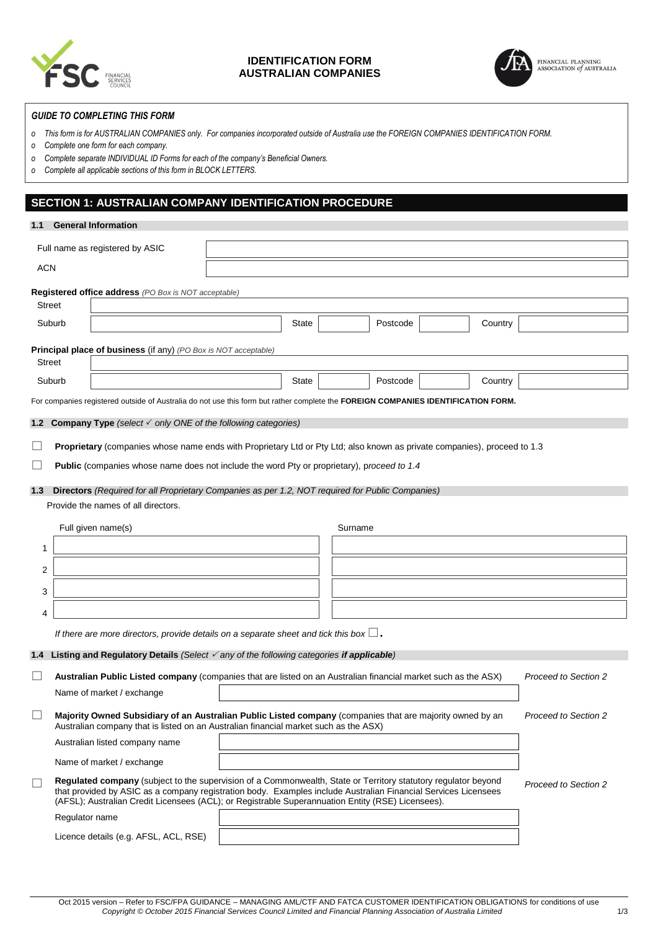

## **IDENTIFICATION FORM AUSTRALIAN COMPANIES**



## *GUIDE TO COMPLETING THIS FORM*

- *o This form is for AUSTRALIAN COMPANIES only. For companies incorporated outside of Australia use the FOREIGN COMPANIES IDENTIFICATION FORM.*
- *o Complete one form for each company.*
- *o Complete separate INDIVIDUAL ID Forms for each of the company's Beneficial Owners.*
- *o Complete all applicable sections of this form in BLOCK LETTERS.*

# **SECTION 1: AUSTRALIAN COMPANY IDENTIFICATION PROCEDURE**

| 1.1                         | <b>General Information</b>                                                                                                                                                                                                                                                                                                            |              |         |          |         |                      |
|-----------------------------|---------------------------------------------------------------------------------------------------------------------------------------------------------------------------------------------------------------------------------------------------------------------------------------------------------------------------------------|--------------|---------|----------|---------|----------------------|
|                             | Full name as registered by ASIC                                                                                                                                                                                                                                                                                                       |              |         |          |         |                      |
| <b>ACN</b>                  |                                                                                                                                                                                                                                                                                                                                       |              |         |          |         |                      |
|                             | Registered office address (PO Box is NOT acceptable)                                                                                                                                                                                                                                                                                  |              |         |          |         |                      |
|                             | <b>Street</b>                                                                                                                                                                                                                                                                                                                         |              |         |          |         |                      |
|                             | Suburb                                                                                                                                                                                                                                                                                                                                | <b>State</b> |         | Postcode | Country |                      |
|                             |                                                                                                                                                                                                                                                                                                                                       |              |         |          |         |                      |
|                             | <b>Principal place of business</b> (if any) (PO Box is NOT acceptable)<br><b>Street</b>                                                                                                                                                                                                                                               |              |         |          |         |                      |
|                             | Suburb                                                                                                                                                                                                                                                                                                                                | State        |         | Postcode | Country |                      |
|                             | For companies registered outside of Australia do not use this form but rather complete the FOREIGN COMPANIES IDENTIFICATION FORM.                                                                                                                                                                                                     |              |         |          |         |                      |
|                             |                                                                                                                                                                                                                                                                                                                                       |              |         |          |         |                      |
|                             | <b>1.2 Company Type</b> (select √ only ONE of the following categories)                                                                                                                                                                                                                                                               |              |         |          |         |                      |
| $\mathcal{L}_{\mathcal{A}}$ | Proprietary (companies whose name ends with Proprietary Ltd or Pty Ltd; also known as private companies), proceed to 1.3                                                                                                                                                                                                              |              |         |          |         |                      |
| $\Box$                      | Public (companies whose name does not include the word Pty or proprietary), proceed to 1.4                                                                                                                                                                                                                                            |              |         |          |         |                      |
| 1.3                         | Directors (Required for all Proprietary Companies as per 1.2, NOT required for Public Companies)                                                                                                                                                                                                                                      |              |         |          |         |                      |
|                             | Provide the names of all directors.                                                                                                                                                                                                                                                                                                   |              |         |          |         |                      |
|                             |                                                                                                                                                                                                                                                                                                                                       |              |         |          |         |                      |
|                             | Full given name(s)                                                                                                                                                                                                                                                                                                                    |              | Surname |          |         |                      |
| 1                           |                                                                                                                                                                                                                                                                                                                                       |              |         |          |         |                      |
| 2                           |                                                                                                                                                                                                                                                                                                                                       |              |         |          |         |                      |
| 3                           |                                                                                                                                                                                                                                                                                                                                       |              |         |          |         |                      |
| 4                           |                                                                                                                                                                                                                                                                                                                                       |              |         |          |         |                      |
|                             | If there are more directors, provide details on a separate sheet and tick this box $\square$ .                                                                                                                                                                                                                                        |              |         |          |         |                      |
|                             | 1.4 Listing and Regulatory Details (Select $\checkmark$ any of the following categories if applicable)                                                                                                                                                                                                                                |              |         |          |         |                      |
|                             |                                                                                                                                                                                                                                                                                                                                       |              |         |          |         |                      |
| $\Box$                      | Australian Public Listed company (companies that are listed on an Australian financial market such as the ASX)                                                                                                                                                                                                                        |              |         |          |         | Proceed to Section 2 |
|                             | Name of market / exchange                                                                                                                                                                                                                                                                                                             |              |         |          |         |                      |
|                             | Majority Owned Subsidiary of an Australian Public Listed company (companies that are majority owned by an<br>Australian company that is listed on an Australian financial market such as the ASX)                                                                                                                                     |              |         |          |         | Proceed to Section 2 |
|                             | Australian listed company name                                                                                                                                                                                                                                                                                                        |              |         |          |         |                      |
|                             | Name of market / exchange                                                                                                                                                                                                                                                                                                             |              |         |          |         |                      |
| $\mathcal{L}_{\mathcal{A}}$ | Regulated company (subject to the supervision of a Commonwealth, State or Territory statutory regulator beyond<br>that provided by ASIC as a company registration body. Examples include Australian Financial Services Licensees<br>(AFSL); Australian Credit Licensees (ACL); or Registrable Superannuation Entity (RSE) Licensees). |              |         |          |         | Proceed to Section 2 |
|                             | Regulator name                                                                                                                                                                                                                                                                                                                        |              |         |          |         |                      |
|                             | Licence details (e.g. AFSL, ACL, RSE)                                                                                                                                                                                                                                                                                                 |              |         |          |         |                      |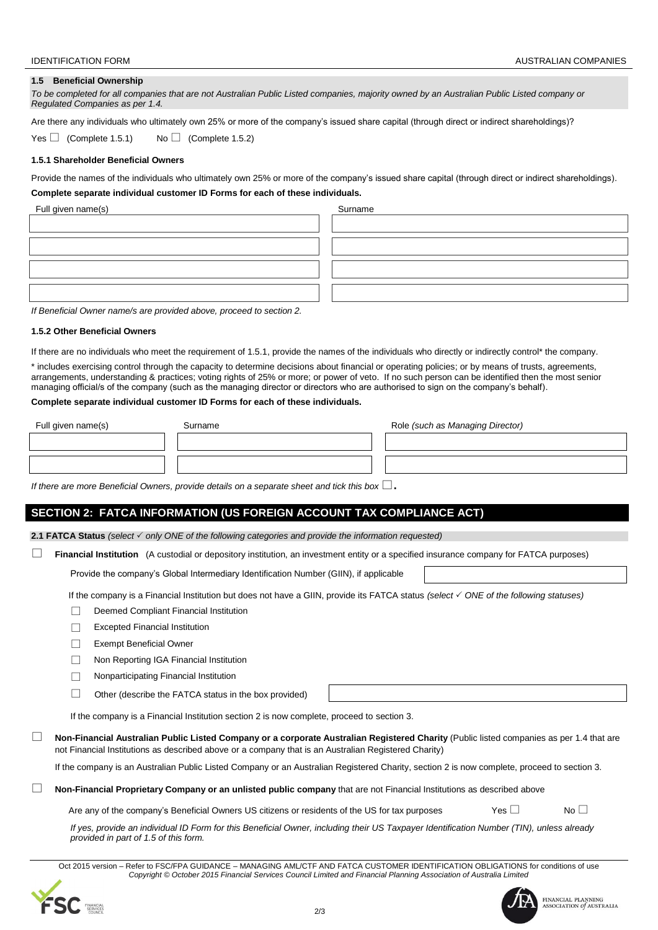### **1.5 Beneficial Ownership**

*To be completed for all companies that are not Australian Public Listed companies, majority owned by an Australian Public Listed company or Regulated Companies as per 1.4.*

Are there any individuals who ultimately own 25% or more of the company's issued share capital (through direct or indirect shareholdings)?

Yes  $\Box$  (Complete 1.5.1) No  $\Box$  (Complete 1.5.2)

### **1.5.1 Shareholder Beneficial Owners**

Provide the names of the individuals who ultimately own 25% or more of the company's issued share capital (through direct or indirect shareholdings). **Complete separate individual customer ID Forms for each of these individuals.**

| Full given name(s) | Surname |
|--------------------|---------|
|                    |         |
|                    |         |
|                    |         |
|                    |         |
|                    |         |

*If Beneficial Owner name/s are provided above, proceed to section 2.*

### **1.5.2 Other Beneficial Owners**

If there are no individuals who meet the requirement of 1.5.1, provide the names of the individuals who directly or indirectly control\* the company.

\* includes exercising control through the capacity to determine decisions about financial or operating policies; or by means of trusts, agreements, arrangements, understanding & practices; voting rights of 25% or more; or power of veto. If no such person can be identified then the most senior managing official/s of the company (such as the managing director or directors who are authorised to sign on the company's behalf).

#### **Complete separate individual customer ID Forms for each of these individuals.**

| Full given name(s) | Surname | Role (such as Managing Director) |
|--------------------|---------|----------------------------------|
|                    |         |                                  |
|                    |         |                                  |

*If there are more Beneficial Owners, provide details on a separate sheet and tick this box*  $\Box$ .

## **SECTION 2: FATCA INFORMATION (US FOREIGN ACCOUNT TAX COMPLIANCE ACT)**

**2.1 FATCA Status** *(select only ONE of the following categories and provide the information requested)*

**Financial Institution** (A custodial or depository institution, an investment entity or a specified insurance company for FATCA purposes)

Provide the company's Global Intermediary Identification Number (GIIN), if applicable

If the company is a Financial Institution but does not have a GIIN, provide its FATCA status *(select ONE of the following statuses)*

- Deemed Compliant Financial Institution
- $\Box$  Excepted Financial Institution
- Exempt Beneficial Owner
- □ Non Reporting IGA Financial Institution
- $\Box$  Nonparticipating Financial Institution
- $\Box$  Other (describe the FATCA status in the box provided)

If the company is a Financial Institution section 2 is now complete, proceed to section 3.

 **Non-Financial Australian Public Listed Company or a corporate Australian Registered Charity** (Public listed companies as per 1.4 that are not Financial Institutions as described above or a company that is an Australian Registered Charity)

If the company is an Australian Public Listed Company or an Australian Registered Charity, section 2 is now complete, proceed to section 3.

### **Non-Financial Proprietary Company or an unlisted public company** that are not Financial Institutions as described above

Are any of the company's Beneficial Owners US citizens or residents of the US for tax purposes Yes  $\Box$  No  $\Box$ 

*If yes, provide an individual ID Form for this Beneficial Owner, including their US Taxpayer Identification Number (TIN), unless already provided in part of 1.5 of this form.*

Oct 2015 version – Refer to FSC/FPA GUIDANCE – MANAGING AML/CTF AND FATCA CUSTOMER IDENTIFICATION OBLIGATIONS for conditions of use *Copyright © October 2015 Financial Services Council Limited and Financial Planning Association of Australia Limited*





FINANCIAL PLANNING<br>ASSOCIATION of AUSTRALIA